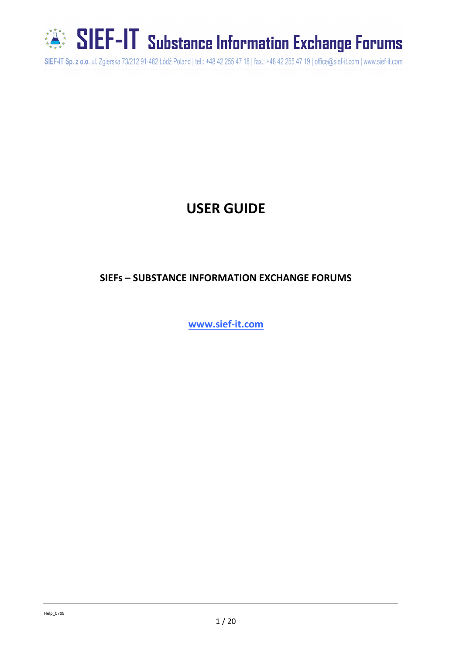

SIEF-IT Substance Information Exchange Forums

SIEF-IT Sp. z o.o. ul. Zgierska 73/212 91-462 Łódź Poland | tel.: +48 42 255 47 18 | fax.: +48 42 255 47 19 | office@sief-it.com | www.sief-it.com

## **USER GUIDE**

### **SIEFs – SUBSTANCE INFORMATION EXCHANGE FORUMS**

**www.sief-it.com**

Help\_0709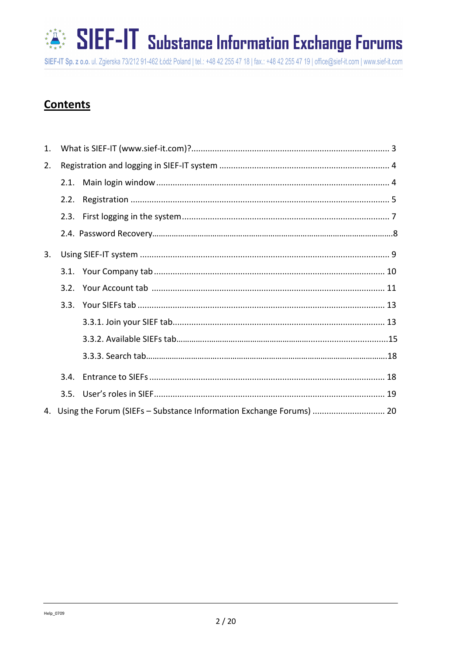# SIEF-IT Substance Information Exchange Forums

SIEF-IT Sp. z o.o. ul. Zgierska 73/212 91-462 Łódź Poland | tel.: +48 42 255 47 18 | fax.: +48 42 255 47 19 | office@sief-it.com | www.sief-it.com

## **Contents**

| 1. |      |                                                                        |
|----|------|------------------------------------------------------------------------|
| 2. |      |                                                                        |
|    | 2.1. |                                                                        |
|    | 2.2. |                                                                        |
|    | 2.3. |                                                                        |
|    |      |                                                                        |
| 3. |      |                                                                        |
|    |      |                                                                        |
|    |      |                                                                        |
|    |      |                                                                        |
|    |      |                                                                        |
|    |      |                                                                        |
|    |      |                                                                        |
|    | 3.4. |                                                                        |
|    |      |                                                                        |
|    |      | 4. Using the Forum (SIEFs - Substance Information Exchange Forums)  20 |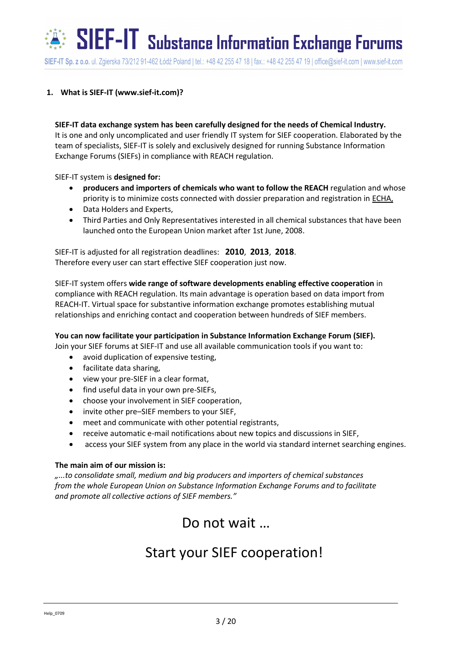$\tilde{S}^*$  SIEF-IT substance Information Exchange Forums

SIEF-IT Sp. z o.o. ul. Zgierska 73/212 91-462 Łódź Poland | tel.: +48 42 255 47 18 | fax.: +48 42 255 47 19 | office@sief-it.com | www.sief-it.com

#### <span id="page-2-0"></span>**1. What is SIEF-IT (www.sief-it.com)?**

**SIEF-IT data exchange system has been carefully designed for the needs of Chemical Industry.** It is one and only uncomplicated and user friendly IT system for SIEF cooperation. Elaborated by the team of specialists, SIEF-IT is solely and exclusively designed for running Substance Information Exchange Forums (SIEFs) in compliance with REACH regulation.

SIEF-IT system is **designed for:**

- **producers and importers of chemicals who want to follow the REACH** regulation and whose priority is to minimize costs connected with dossier preparation and registration in ECHA,
- Data Holders and Experts.
- Third Parties and Only Representatives interested in all chemical substances that have been launched onto the European Union market after 1st June, 2008.

SIEF-IT is adjusted for all registration deadlines: **2010**, **2013**, **2018**. Therefore every user can start effective SIEF cooperation just now.

SIEF-IT system offers **wide range of software developments enabling effective cooperation** in compliance with REACH regulation. Its main advantage is operation based on data import from REACH-IT. Virtual space for substantive information exchange promotes establishing mutual relationships and enriching contact and cooperation between hundreds of SIEF members.

**You can now facilitate your participation in Substance Information Exchange Forum (SIEF).**

Join your SIEF forums at SIEF-IT and use all available communication tools if you want to:

- avoid duplication of expensive testing,
- facilitate data sharing,
- view your pre-SIEF in a clear format,
- find useful data in your own pre-SIEFs,
- choose your involvement in SIEF cooperation,
- invite other pre–SIEF members to your SIEF,
- meet and communicate with other potential registrants,
- receive automatic e-mail notifications about new topics and discussions in SIEF,
- access your SIEF system from any place in the world via standard internet searching engines.

#### **The main aim of our mission is:**

*"...to consolidate small, medium and big producers and importers of chemical substances from the whole European Union on Substance Information Exchange Forums and to facilitate and promote all collective actions of SIEF members."*

Do not wait …

## Start your SIEF cooperation!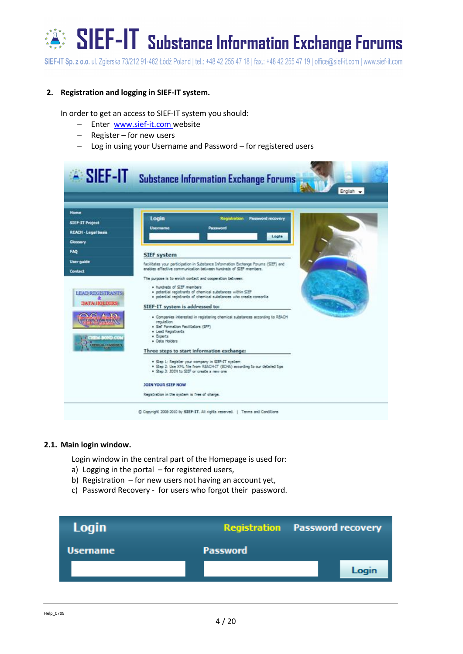## $\mathbb{S}^*$  SIEF-IT Substance Information Exchange Forums

SIEF-IT Sp. z o.o. ul. Zgierska 73/212 91-462 Łódź Poland | tel.: +48 42 255 47 18 | fax.: +48 42 255 47 19 | office@sief-it.com | www.sief-it.com

#### <span id="page-3-0"></span>**2. Registration and logging in SIEF-IT system.**

In order to get an access to SIEF-IT system you should:

- Enter [www.sief-it.com](http://www.sief-it.com/) website
- $-$  Register for new users
- Log in using your Username and Password for registered users

|                                                                                 | A SIEF-IT Substance Information Exchange Forums                                                                                                                                                                                                                  |           |
|---------------------------------------------------------------------------------|------------------------------------------------------------------------------------------------------------------------------------------------------------------------------------------------------------------------------------------------------------------|-----------|
|                                                                                 |                                                                                                                                                                                                                                                                  | English + |
| Home<br><b>SIEF-IT Project</b><br><b>REACH - Legal basis</b><br><b>Glossary</b> | Login<br>Password recovery<br><b>Registration</b><br>Password<br>Usemame<br>Loola                                                                                                                                                                                |           |
| FAO<br>User guide                                                               | <b>SIEF system</b><br>facilitates your perticipation in Substance Information Bichange Forums (SIEP) and<br>erables effective communication between hundreds of SIEF members.                                                                                    |           |
| Contact<br><b>LEAD REGISTRANTS:</b><br><b>DATA/HOLDERS:</b>                     | The purpose is to enrich contact and cooperation between:<br>. hundreds of SIEF members<br>· potential registrants of chemical substances within SIBP<br>· potential registrants of chemical substances who create coreortial<br>SIEF-IT system is addressed to: |           |
| <b>HEM-BOND CO</b><br><b>INGCAL COMMUNITY</b>                                   | · Companies interested in registering chemical substances according to REACH<br>regulation<br>· Sef Formation Facilitators (SFF)<br>. Lead Registrants<br>. Experts<br>· Data Holders                                                                            |           |
|                                                                                 | Three steps to start information exchange:<br>. Step 1: Register your company in SIEF-IT system<br>. Step 2: Use XXVL file from REACH-IT (BCHA) according to our detailed tips<br>. Step 3: JODN to SEF or create a new one                                      |           |
|                                                                                 | <b>JOIN YOUR SIEF NOW</b><br>Registration in the system is free of charge.                                                                                                                                                                                       |           |
|                                                                                 | C Copyright 2008-2010 by SIEF-IT. All rights reserved.   Terms and Conditions                                                                                                                                                                                    |           |

#### <span id="page-3-1"></span>**2.1. Main login window.**

Login window in the central part of the Homepage is used for:

- a) Logging in the portal for registered users,
- b) Registration for new users not having an account yet,
- c) Password Recovery for users who forgot their password.

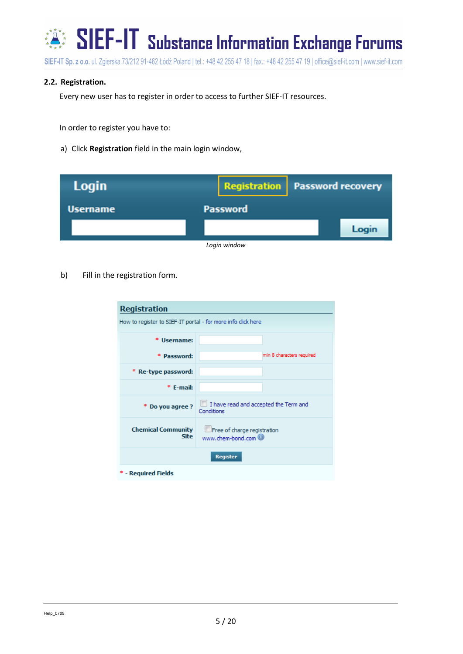

#### <span id="page-4-0"></span>**2.2. Registration.**

Every new user has to register in order to access to further SIEF-IT resources.

In order to register you have to:

a) Click **Registration** field in the main login window,

| <b>Login</b>    | <b>Registration</b>   Password recovery |       |
|-----------------|-----------------------------------------|-------|
| <b>Username</b> | <b>Password</b>                         |       |
|                 |                                         | Login |
|                 | Login window                            |       |

b) Fill in the registration form.

| <b>Registration</b>                                                                          |                                                     |  |  |  |  |
|----------------------------------------------------------------------------------------------|-----------------------------------------------------|--|--|--|--|
| How to register to SIEF-IT portal - for more info click here                                 |                                                     |  |  |  |  |
|                                                                                              |                                                     |  |  |  |  |
| <b>Username:</b>                                                                             |                                                     |  |  |  |  |
| * Password:                                                                                  | min 8 characters required                           |  |  |  |  |
| Re-type password:                                                                            |                                                     |  |  |  |  |
| * E-mail:                                                                                    |                                                     |  |  |  |  |
| * Do you agree ?                                                                             | I have read and accepted the Term and<br>Conditions |  |  |  |  |
| <b>Chemical Community</b><br>Free of charge registration<br><b>Site</b><br>www.chem-bond.com |                                                     |  |  |  |  |
| <b>Register</b>                                                                              |                                                     |  |  |  |  |
| - Required Fields                                                                            |                                                     |  |  |  |  |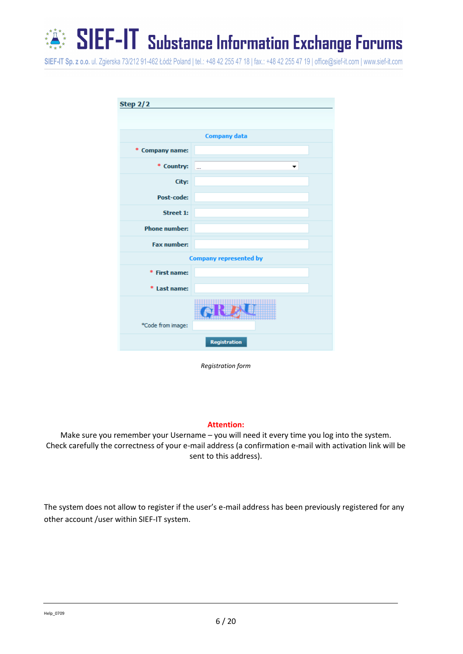$\mathbb{S}^*$  SIEF-IT Substance Information Exchange Forums

SIEF-IT Sp. z o.o. ul. Zgierska 73/212 91-462 Łódź Poland | tel.: +48 42 255 47 18 | fax.: +48 42 255 47 19 | office@sief-it.com | www.sief-it.com

| <b>Step 2/2</b>      |                               |  |  |  |
|----------------------|-------------------------------|--|--|--|
|                      |                               |  |  |  |
|                      |                               |  |  |  |
|                      | <b>Company data</b>           |  |  |  |
| * Company name:      |                               |  |  |  |
| * Country:           |                               |  |  |  |
| City:                |                               |  |  |  |
| Post-code:           |                               |  |  |  |
| <b>Street 1:</b>     |                               |  |  |  |
| <b>Phone number:</b> |                               |  |  |  |
| <b>Fax number:</b>   |                               |  |  |  |
|                      | <b>Company represented by</b> |  |  |  |
| * First name:        |                               |  |  |  |
| * Last name:         |                               |  |  |  |
| *Code from image:    |                               |  |  |  |
|                      | Registration                  |  |  |  |

*Registration form*

#### **Attention:**

Make sure you remember your Username – you will need it every time you log into the system. Check carefully the correctness of your e-mail address (a confirmation e-mail with activation link will be sent to this address).

The system does not allow to register if the user's e-mail address has been previously registered for any other account /user within SIEF-IT system.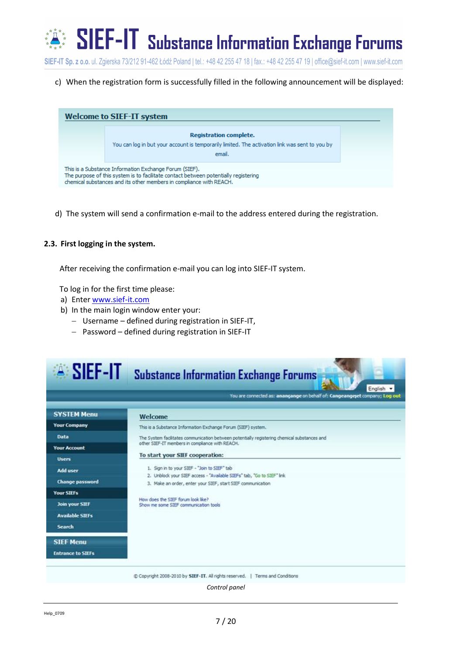## SIEF-IT Substance Information Exchange Forums ★<br>★<br>★<br>★

SIEF-IT Sp. z o.o. ul. Zgierska 73/212 91-462 Łódź Poland | tel.: +48 42 255 47 18 | fax.: +48 42 255 47 19 | office@sief-it.com | www.sief-it.com

c) When the registration form is successfully filled in the following announcement will be displayed:

| <b>Welcome to SIEF-IT system</b>                                                                                                                                                                                     |                                                                                                                                    |  |  |  |  |
|----------------------------------------------------------------------------------------------------------------------------------------------------------------------------------------------------------------------|------------------------------------------------------------------------------------------------------------------------------------|--|--|--|--|
|                                                                                                                                                                                                                      | Registration complete.<br>You can log in but your account is temporarily limited. The activation link was sent to you by<br>email. |  |  |  |  |
| This is a Substance Information Exchange Forum (SIEF).<br>The purpose of this system is to facilitate contact between potentially registering<br>chemical substances and its other members in compliance with REACH. |                                                                                                                                    |  |  |  |  |

d) The system will send a confirmation e-mail to the address entered during the registration.

#### <span id="page-6-0"></span>**2.3. First logging in the system.**

After receiving the confirmation e-mail you can log into SIEF-IT system.

To log in for the first time please:

- a) Enter [www.sief-it.com](http://www.sief-it.com/)
- b) In the main login window enter your:
	- Username defined during registration in SIEF-IT,
	- Password defined during registration in SIEF-IT

| $\sim$ SIEF-IT           | <b>Substance Information Exchange Forums</b><br>English v                                                                                                                             |  |  |  |  |
|--------------------------|---------------------------------------------------------------------------------------------------------------------------------------------------------------------------------------|--|--|--|--|
|                          | You are connected as: anangange on behalf of: Cangeangeet company; Log out                                                                                                            |  |  |  |  |
| <b>SYSTEM Menu</b>       | Welcome                                                                                                                                                                               |  |  |  |  |
| <b>Your Company</b>      | This is a Substance Information Exchange Forum (SIEF) system.                                                                                                                         |  |  |  |  |
| Data                     | The System facilitates communication between potentially registering chemical substances and                                                                                          |  |  |  |  |
| <b>Your Account</b>      | other SIEF-IT members in compliance with REACH.                                                                                                                                       |  |  |  |  |
| <b>Users</b>             | To start your SIEF cooperation:                                                                                                                                                       |  |  |  |  |
| <b>Add user</b>          | 1. Sign in to your SIEF - "Join to SIEF" tab<br>2. Unblock your SIEF access - "Available SIEFs" tab, "Go to SIEF" link<br>3. Make an order, enter your SIEF, start SIEF communication |  |  |  |  |
| <b>Change password</b>   |                                                                                                                                                                                       |  |  |  |  |
| <b>Your SIEFs</b>        |                                                                                                                                                                                       |  |  |  |  |
| <b>Join your SIEF</b>    | How does the SIFF forum look like?<br>Show me some SIEF communication tools                                                                                                           |  |  |  |  |
| <b>Available SIEFs</b>   |                                                                                                                                                                                       |  |  |  |  |
| <b>Search</b>            |                                                                                                                                                                                       |  |  |  |  |
| <b>SIEF Menu</b>         |                                                                                                                                                                                       |  |  |  |  |
| <b>Entrance to SIEFs</b> |                                                                                                                                                                                       |  |  |  |  |
|                          | Copyright 2008-2010 by SIEF-IT. All rights reserved.   Terms and Conditions                                                                                                           |  |  |  |  |
|                          | Control panel                                                                                                                                                                         |  |  |  |  |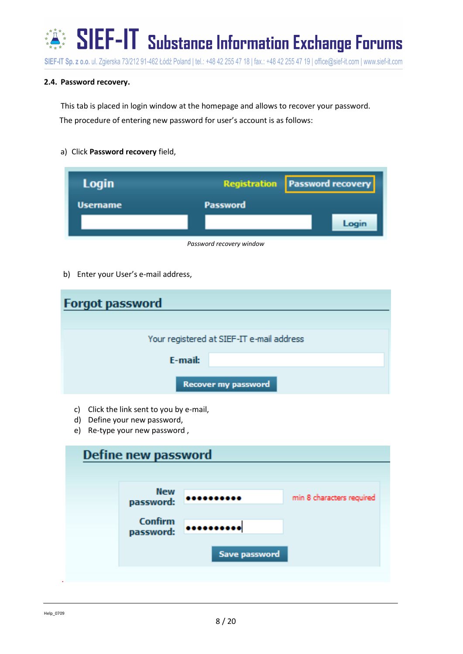

#### **2.4. Password recovery.**

This tab is placed in login window at the homepage and allows to recover your password. The procedure of entering new password for user's account is as follows:

a) Click **Password recovery** field,

| Login    | <b>Registration Password recovery</b> |
|----------|---------------------------------------|
| Username | Password                              |
|          | Login                                 |
|          | Password recovery window              |

b) Enter your User's e-mail address,

| <b>Forgot password</b> |                                           |  |  |  |  |
|------------------------|-------------------------------------------|--|--|--|--|
|                        | Your registered at SIEF-IT e-mail address |  |  |  |  |
| E-mail:                |                                           |  |  |  |  |
| Recover my password    |                                           |  |  |  |  |

- c) Click the link sent to you by e-mail,
- d) Define your new password,
- e) Re-type your new password ,

| Define new password         |                          |                           |  |
|-----------------------------|--------------------------|---------------------------|--|
|                             |                          |                           |  |
| <b>New</b><br>password:     |                          | min 8 characters required |  |
| <b>Confirm</b><br>password: | <br><b>Save password</b> |                           |  |
|                             |                          |                           |  |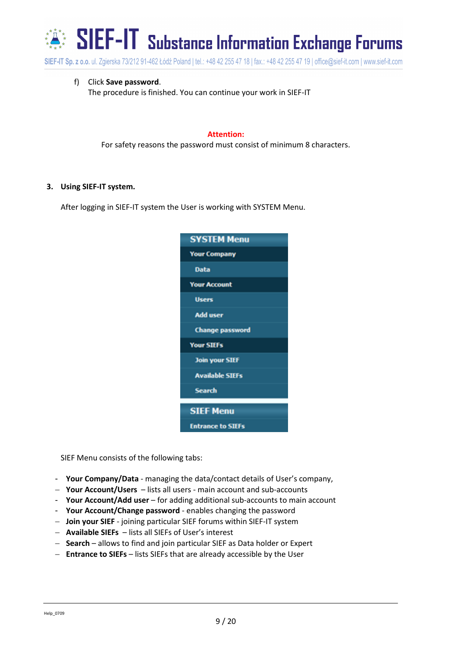

f) Click **Save password**.

The procedure is finished. You can continue your work in SIEF-IT

#### **Attention:**

For safety reasons the password must consist of minimum 8 characters.

#### <span id="page-8-0"></span>**3. Using SIEF-IT system.**

After logging in SIEF-IT system the User is working with SYSTEM Menu.

| <b>SYSTEM Menu</b>       |
|--------------------------|
| <b>Your Company</b>      |
| Data                     |
| <b>Your Account</b>      |
| <b>Users</b>             |
| <b>Add user</b>          |
| <b>Change password</b>   |
| <b>Your SIEFs</b>        |
| <b>Join your SIEF</b>    |
| <b>Available SIEFs</b>   |
| Search                   |
| <b>SIEF Menu</b>         |
| <b>Entrance to SIEFs</b> |

SIEF Menu consists of the following tabs:

- **Your Company/Data**  managing the data/contact details of User's company,
- **Your Account/Users** lists all users main account and sub-accounts
- **Your Account/Add user** for adding additional sub-accounts to main account
- **Your Account/Change password**  enables changing the password
- **Join your SIEF** joining particular SIEF forums within SIEF-IT system
- **Available SIEFs**  lists all SIEFs of User's interest
- **Search**  allows to find and join particular SIEF as Data holder or Expert
- **Entrance to SIEFs** lists SIEFs that are already accessible by the User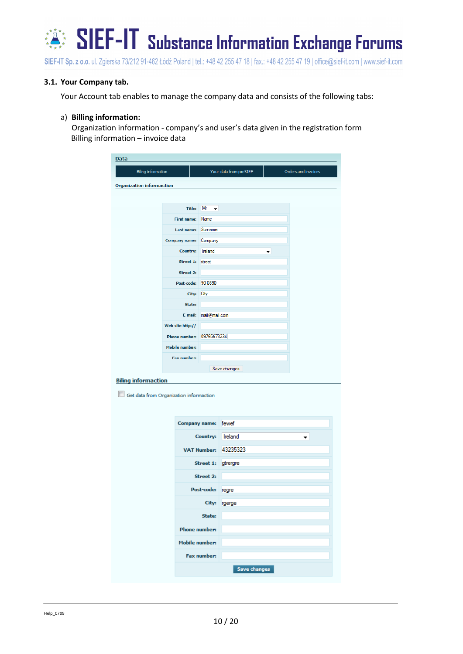

#### <span id="page-9-0"></span>**3.1. Your Company tab.**

Your Account tab enables to manage the company data and consists of the following tabs:

#### a) **Billing information:**

Organization information - company's and user's data given in the registration form Billing information – invoice data

| Data                                    |                           |                         |                        |   |                     |
|-----------------------------------------|---------------------------|-------------------------|------------------------|---|---------------------|
| <b>Biling information</b>               |                           |                         | Your data from preSIEF |   | Orders and invoices |
| <b>Organization informaction</b>        |                           |                         |                        |   |                     |
|                                         |                           |                         |                        |   |                     |
|                                         |                           | Title: $Mr \rightarrow$ |                        |   |                     |
|                                         | First name: Name          |                         |                        |   |                     |
|                                         | Last name: Sumame         |                         |                        |   |                     |
|                                         | Company name: Company     |                         |                        |   |                     |
|                                         | Country: Ireland          |                         |                        | ۰ |                     |
|                                         | Street 1: street          |                         |                        |   |                     |
|                                         | Street 2:                 |                         |                        |   |                     |
|                                         | Post-code: 90 0890        |                         |                        |   |                     |
|                                         | City: City                |                         |                        |   |                     |
|                                         | State:                    |                         |                        |   |                     |
|                                         |                           | E-mail: mail@mail.com   |                        |   |                     |
|                                         | Web site http://          |                         |                        |   |                     |
|                                         | Phone number: 09765673234 |                         |                        |   |                     |
|                                         | <b>Mobile number:</b>     |                         |                        |   |                     |
|                                         | <b>Fax number:</b>        |                         |                        |   |                     |
|                                         |                           |                         | Save changes           |   |                     |
| <b>Biling informaction</b>              |                           |                         |                        |   |                     |
| Get data from Organization informaction |                           |                         |                        |   |                     |
|                                         |                           | <b>Company name:</b>    | fewef                  |   |                     |
|                                         |                           | Country:                | Ireland                |   |                     |
|                                         |                           | <b>VAT Number:</b>      | 43235323               |   |                     |
|                                         |                           | Street 1: gtrergre      |                        |   |                     |
|                                         | <b>Street 2:</b>          |                         |                        |   |                     |
|                                         |                           | Post-code: regre        |                        |   |                     |
|                                         |                           | City:                   | rgerge                 |   |                     |
|                                         |                           | State:                  |                        |   |                     |
|                                         |                           | <b>Phone number:</b>    |                        |   |                     |
| <b>Mobile number:</b>                   |                           |                         |                        |   |                     |
|                                         |                           | <b>Fax number:</b>      |                        |   |                     |
|                                         |                           |                         | Save changes           |   |                     |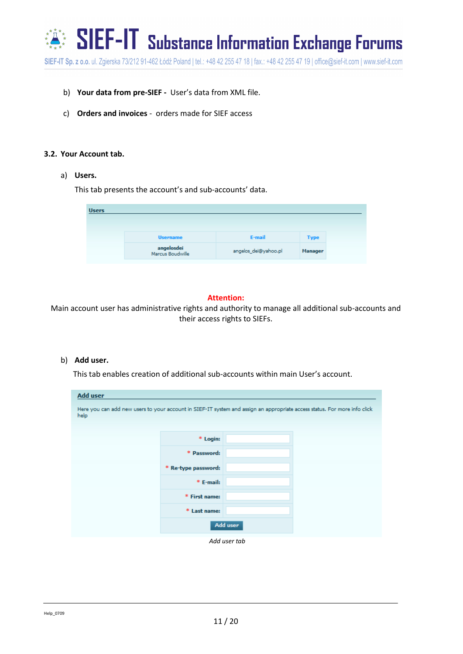$\mathbb{S}^*$  SIEF-IT substance Information Exchange Forums

SIEF-IT Sp. z o.o. ul. Zgierska 73/212 91-462 Łódź Poland | tel.: +48 42 255 47 18 | fax.: +48 42 255 47 19 | office@sief-it.com | www.sief-it.com

- b) **Your data from pre-SIEF -** User's data from XML file.
- c) **Orders and invoices**  orders made for SIEF access

#### <span id="page-10-0"></span>**3.2. Your Account tab.**

#### a) **Users.**

This tab presents the account's and sub-accounts' data.

| <b>Users</b> |                                |                      |                |
|--------------|--------------------------------|----------------------|----------------|
|              | <b>Username</b>                | E-mail               | <b>Type</b>    |
|              | angelosdei<br>Marcus Boudwille | angelos_dei@yahoo.pl | <b>Manager</b> |

#### **Attention:**

Main account user has administrative rights and authority to manage all additional sub-accounts and their access rights to SIEFs.

#### b) **Add user.**

This tab enables creation of additional sub-accounts within main User's account.

| <b>Add user</b>                                                                                                                   |                     |          |  |
|-----------------------------------------------------------------------------------------------------------------------------------|---------------------|----------|--|
| Here you can add new users to your account in SIEF-IT system and assign an appropriate access status. For more info click<br>help |                     |          |  |
|                                                                                                                                   | * Login:            |          |  |
|                                                                                                                                   | * Password:         |          |  |
|                                                                                                                                   | * Re-type password: |          |  |
|                                                                                                                                   | * E-mail:           |          |  |
|                                                                                                                                   | * First name:       |          |  |
|                                                                                                                                   | * Last name:        |          |  |
|                                                                                                                                   |                     | Add user |  |

*Add user tab*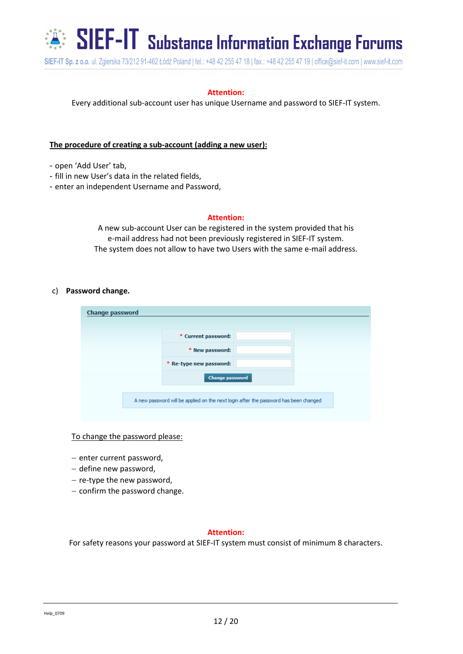

 $\mathbb{Z}^*$  SIEF-IT substance Information Exchange Forums

SIEF-IT Sp. z o.o. ul. Zgierska 73/212 91-462 Łódź Poland | tel.: +48 42 255 47 18 | fax.: +48 42 255 47 19 | office@sief-it.com | www.sief-it.com

#### **Attention:**

Every additional sub-account user has unique Username and password to SIEF-IT system.

#### **The procedure of creating a sub-account (adding a new user):**

- open 'Add User' tab,
- fill in new User's data in the related fields,
- enter an independent Username and Password,

#### **Attention:**

A new sub-account User can be registered in the system provided that his e-mail address had not been previously registered in SIEF-IT system. The system does not allow to have two Users with the same e-mail address.

#### c) **Password change.**

| * Current password:                                                                  |
|--------------------------------------------------------------------------------------|
|                                                                                      |
| * New password:                                                                      |
| * Re-type new password:                                                              |
| <b>Change password</b>                                                               |
| A new password will be applied on the next login after the password has been changed |

#### To change the password please:

- $-$  enter current password,
- define new password,
- $-$  re-type the new password,
- $-$  confirm the password change.

#### **Attention:**

For safety reasons your password at SIEF-IT system must consist of minimum 8 characters.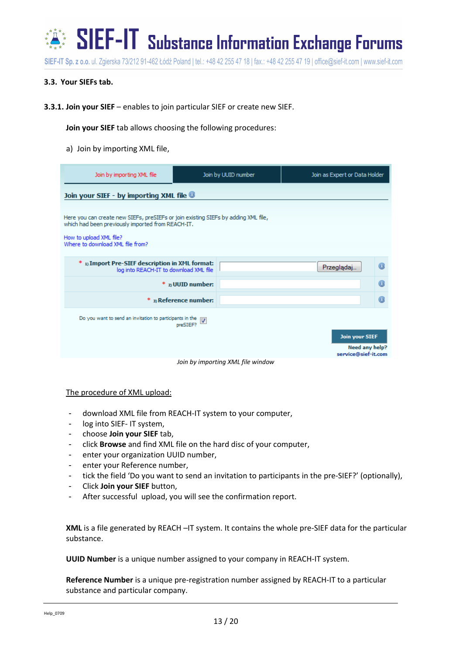

#### <span id="page-12-0"></span>**3.3. Your SIEFs tab.**

**3.3.1. Join your SIEF** – enables to join particular SIEF or create new SIEF.

**Join your SIEF** tab allows choosing the following procedures:

a) Join by importing XML file,

| Join by importing XML file                                                                                                                                                                             |                                 | Join by UUID number               | Join as Expert or Data Holder |                                                                |   |
|--------------------------------------------------------------------------------------------------------------------------------------------------------------------------------------------------------|---------------------------------|-----------------------------------|-------------------------------|----------------------------------------------------------------|---|
| Join your SIEF - by importing XML file <sup>®</sup>                                                                                                                                                    |                                 |                                   |                               |                                                                |   |
| Here you can create new SIEFs, preSIEFs or join existing SIEFs by adding XML file,<br>which had been previously imported from REACH-IT.<br>How to upload XML file?<br>Where to download XML file from? |                                 |                                   |                               |                                                                |   |
| 1) Import Pre-SIEF description in XML format:<br>*<br>log into REACH-IT to download XML file                                                                                                           |                                 |                                   |                               | Przeglądaj                                                     | O |
|                                                                                                                                                                                                        | $*$ z <sub>0</sub> UUID number: |                                   |                               |                                                                | O |
|                                                                                                                                                                                                        | * 3) Reference number:          |                                   |                               |                                                                | O |
| Do you want to send an invitation to participants in the $\sqrt{\left y\right }$                                                                                                                       | preSIEF?                        |                                   |                               | <b>Join your SIEF</b><br>Need any help?<br>service@sief-it.com |   |
|                                                                                                                                                                                                        |                                 | Join by importing XML file window |                               |                                                                |   |

#### The procedure of XML upload:

- download XML file from REACH-IT system to your computer,
- log into SIEF- IT system,
- choose **Join your SIEF** tab,
- click **Browse** and find XML file on the hard disc of your computer,
- enter your organization UUID number,
- enter your Reference number,
- tick the field 'Do you want to send an invitation to participants in the pre-SIEF?' (optionally),
- Click **Join your SIEF** button,
- After successful upload, you will see the confirmation report.

**XML** is a file generated by REACH –IT system. It contains the whole pre-SIEF data for the particular substance.

**UUID Number** is a unique number assigned to your company in REACH-IT system.

**Reference Number** is a unique pre-registration number assigned by REACH-IT to a particular substance and particular company.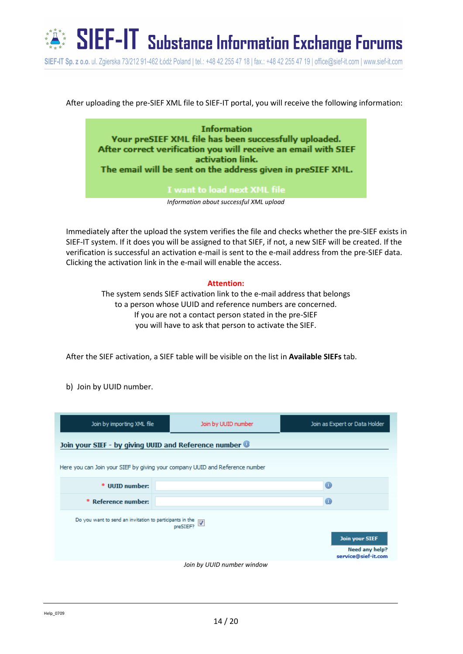

After uploading the pre-SIEF XML file to SIEF-IT portal, you will receive the following information:

**Information** Your preSIEF XML file has been successfully uploaded. After correct verification you will receive an email with SIEF activation link. The email will be sent on the address given in preSIEF XML.

*Information about successful XML upload*

Immediately after the upload the system verifies the file and checks whether the pre-SIEF exists in SIEF-IT system. If it does you will be assigned to that SIEF, if not, a new SIEF will be created. If the verification is successful an activation e-mail is sent to the e-mail address from the pre-SIEF data. Clicking the activation link in the e-mail will enable the access.

#### **Attention:**

The system sends SIEF activation link to the e-mail address that belongs to a person whose UUID and reference numbers are concerned. If you are not a contact person stated in the pre-SIEF you will have to ask that person to activate the SIEF.

After the SIEF activation, a SIEF table will be visible on the list in **Available SIEFs** tab.

b) Join by UUID number.

| Join by importing XML file                                                                                                                      | Join by UUID number        | Join as Expert or Data Holder |  |  |  |
|-------------------------------------------------------------------------------------------------------------------------------------------------|----------------------------|-------------------------------|--|--|--|
| Join your SIEF - by giving UUID and Reference number <sup>®</sup>                                                                               |                            |                               |  |  |  |
| Here you can Join your SIEF by giving your company UUID and Reference number                                                                    |                            |                               |  |  |  |
| * UUID number:                                                                                                                                  |                            | $^{\circ}$                    |  |  |  |
| * Reference number:                                                                                                                             |                            | $^{\circ}$                    |  |  |  |
| Do you want to send an invitation to participants in the $\sqrt{\frac{1}{N}}$<br><b>Join your SIEF</b><br>Need any help?<br>service@sief-it.com |                            |                               |  |  |  |
|                                                                                                                                                 | Join by UUID number window |                               |  |  |  |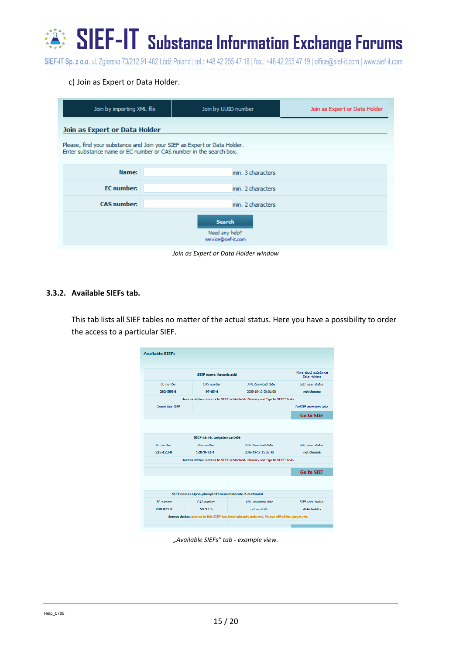$\mathbf{S}^*$   $\mathbf{S}$   $\mathbf{E}$   $\mathbf{F}$  -  $\mathbf{F}$   $\mathbf{S}$  ubstance Information Exchange Forums

SIEF-IT Sp. z o.o. ul. Zgierska 73/212 91-462 Łódź Poland | tel.: +48 42 255 47 18 | fax.: +48 42 255 47 19 | office@sief-it.com | www.sief-it.com

#### c) Join as Expert or Data Holder.

| Join by importing XML file                                                                                                                     |                                                        | Join by UUID number | Join as Expert or Data Holder |  |  |  |  |
|------------------------------------------------------------------------------------------------------------------------------------------------|--------------------------------------------------------|---------------------|-------------------------------|--|--|--|--|
| Join as Expert or Data Holder                                                                                                                  |                                                        |                     |                               |  |  |  |  |
| Please, find your substance and Join your SIEF as Expert or Data Holder.<br>Enter substance name or EC number or CAS number in the search box. |                                                        |                     |                               |  |  |  |  |
| Name:                                                                                                                                          |                                                        | min. 3 characters   |                               |  |  |  |  |
| <b>EC</b> number:                                                                                                                              |                                                        | min. 2 characters   |                               |  |  |  |  |
| <b>CAS number:</b>                                                                                                                             | min. 2 characters                                      |                     |                               |  |  |  |  |
|                                                                                                                                                | <b>Search</b><br>Need any help?<br>service@sief-it.com |                     |                               |  |  |  |  |

*Join as Expert or Data Holder window*

#### <span id="page-14-0"></span>**3.3.2. Available SIEFs tab.**

This tab lists all SIEF tables no matter of the actual status. Here you have a possibility to order the access to a particular SIEF.

| <b>Available SIEFs</b> |                             |                                                                                         |                                       |
|------------------------|-----------------------------|-----------------------------------------------------------------------------------------|---------------------------------------|
|                        | STEE name: ibaconic acid    |                                                                                         | More about substance.<br>Data Holders |
| EC number              | CAS number                  | XML download date                                                                       | SIEE user status                      |
| 202-599-6              | $97 - 65 - 4$               | 2009-10-10 00:01:00                                                                     | not choose.                           |
|                        |                             | Access status: access to SIEF is blocked. Please, use "go to SIEF" link.                |                                       |
| Cancel this SIEE       |                             |                                                                                         | PreSIEE members data                  |
|                        |                             |                                                                                         | <b>Go to SIEF</b>                     |
|                        |                             |                                                                                         |                                       |
|                        | SIEF name: tungsten carbide |                                                                                         |                                       |
| EC number              | CAS number                  | XML download date                                                                       | SIEF user status                      |
| 235-123-0              | 12070-12-1                  | 2009-10-19 15:02:40                                                                     | not choose                            |
|                        |                             | Access status: access to SIEF is blocked. Please, use "go to SIEF" link.                |                                       |
|                        |                             |                                                                                         | <b>Go to SIEF</b>                     |
|                        |                             |                                                                                         |                                       |
|                        |                             | SIEF name: alpha-phenyl-1H-benzimidazole-2-methanol                                     |                                       |
| EC number              | CAS number                  | XML download date                                                                       | SIEF user status                      |
| 200-073-0              | $50 - 97 - 5$               | not available                                                                           | data holder                           |
|                        |                             | Access status: access to this SIEF has been already ordered. Please effect the payment. |                                       |
|                        |                             |                                                                                         |                                       |

*"Available SIEFs" tab - example view.*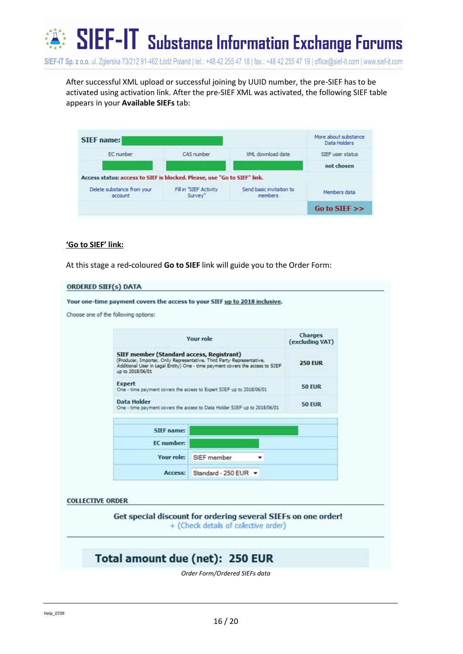

After successful XML upload or successful joining by UUID number, the pre-SIEF has to be activated using activation link. After the pre-SIEF XML was activated, the following SIEF table appears in your **Available SIEFs** tab:

| <b>SIEF</b> name:                                                        |                                   |                                     | More about substance<br>Data Holders |
|--------------------------------------------------------------------------|-----------------------------------|-------------------------------------|--------------------------------------|
| EC number                                                                | CAS number                        | XML download date                   | SIEF user status                     |
|                                                                          |                                   |                                     | not chosen                           |
| Access status: access to SIEF is blocked. Please, use "Go to SIEF" link. |                                   |                                     |                                      |
| Delete substance from your<br>account                                    | Fill in "SIEF Activity<br>Survey" | Send basic invitation to<br>members | Members data                         |
|                                                                          |                                   |                                     | Go to SIEF $\gg$                     |

#### **'Go to SIEF' link:**

At this stage a red**-**coloured **Go to SIEF** link will guide you to the Order Form:

#### **ORDERED SIEF(s) DATA**

Your one-time payment covers the access to your SIEF up to 2018 inclusive. Choose one of the following options: Charges **Your role** (excluding VAT) SIEF member (Standard access, Registrant) (Producer, Importer, Only Representative, Third Party Representative,<br>Additional User in Legal Entity) One - time payment covers the access to SIEF **250 EUR** up to 2018/06/01 **Expert 50 EUR** - time payment covers the access to Expert SIEF up to 2018/06/01 **Data Holder** 50 EUR time payment covers the access to Data Holder SIEF up to 2018/06/01 SIEF name: **EC** number: Your role: SIEF member ٠ Access: Standard - 250 EUR -**COLLECTIVE ORDER** Get special discount for ordering several SIEFs on one order! + (Check details of collective order) Total amount due (net): 250 EUR

*Order Form/Ordered SIEFs data*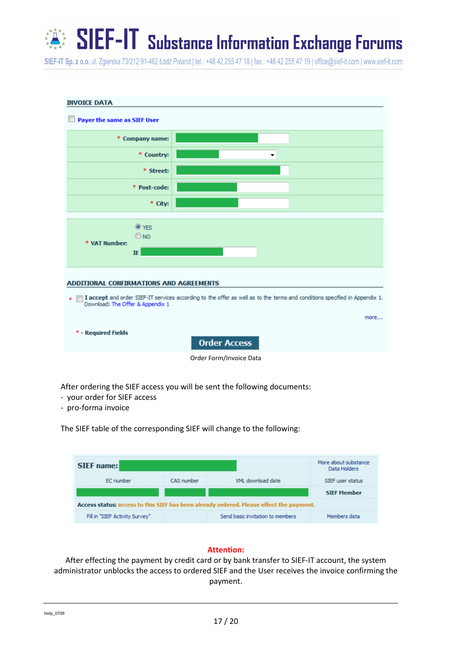## SIEF-IT Substance Information Exchange Forums \* \* \* \*

SIEF-IT Sp. z o.o. ul. Zgierska 73/212 91-462 Łódź Poland | tel.: +48 42 255 47 18 | fax.: +48 42 255 47 19 | office@sief-it.com | www.sief-it.com



After ordering the SIEF access you will be sent the following documents:

- your order for SIEF access
- pro-forma invoice

The SIEF table of the corresponding SIEF will change to the following:

| SIEF name:                     |            |                                                                                         | More about substance<br>Data Holders |  |
|--------------------------------|------------|-----------------------------------------------------------------------------------------|--------------------------------------|--|
| EC number                      | CAS number | XML download date                                                                       | SIEF user status                     |  |
|                                |            |                                                                                         | <b>SIEF Member</b>                   |  |
|                                |            | Access status: access to this SIEF has been already ordered. Please effect the payment. |                                      |  |
| Fill in "SIEF Activity Survey" |            | Send basic invitation to members                                                        | Members data                         |  |

#### **Attention:**

After effecting the payment by credit card or by bank transfer to SIEF-IT account, the system administrator unblocks the access to ordered SIEF and the User receives the invoice confirming the payment.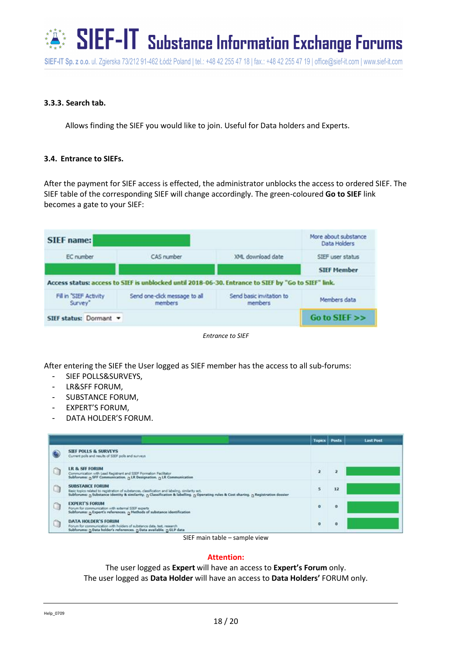

#### **3.3.3. Search tab.**

Allows finding the SIEF you would like to join. Useful for Data holders and Experts.

#### <span id="page-17-0"></span>**3.4. Entrance to SIEFs.**

After the payment for SIEF access is effected, the administrator unblocks the access to ordered SIEF. The SIEF table of the corresponding SIEF will change accordingly. The green-coloured **Go to SIEF** link becomes a gate to your SIEF:

| <b>SIEF</b> name:                |                                                                                                     |                                            | More about substance<br>Data Holders |  |
|----------------------------------|-----------------------------------------------------------------------------------------------------|--------------------------------------------|--------------------------------------|--|
| EC number                        | CAS number                                                                                          | XML download date                          | SIEF user status                     |  |
|                                  |                                                                                                     |                                            | <b>SIEF Member</b>                   |  |
|                                  |                                                                                                     |                                            |                                      |  |
|                                  | Access status: access to SIEF is unblocked until 2018-06-30. Entrance to SIEF by "Go to SIEF" link. |                                            |                                      |  |
| Fill in SIEF Activity<br>Survey" | Send one-click message to all<br>members                                                            | Send basic invitation to<br><i>members</i> | Members data                         |  |

*Entrance to SIEF*

After entering the SIEF the User logged as SIEF member has the access to all sub-forums:

- SIEF POLLS&SURVEYS,
- LR&SFF FORUM,
- SUBSTANCE FORUM,
- EXPERT'S FORUM,
- DATA HOLDER'S FORUM.

|   |                                                                                                                                                                                                                                                                    | <b>Topics Posts</b> |          | <b>Last Post</b> |
|---|--------------------------------------------------------------------------------------------------------------------------------------------------------------------------------------------------------------------------------------------------------------------|---------------------|----------|------------------|
|   | <b>SIEF POLLS &amp; SURVEYS</b><br>Current pols and results of SIEF pols and surveys                                                                                                                                                                               |                     |          |                  |
| û | <b>LR &amp; SFF FORUM</b><br>Communication with Lead Registrant and SIEF Formation Facilitator<br>Subforumn: n SFF Communication. n LR Designation. n LR Communication                                                                                             | z.                  |          |                  |
| Q | <b>SUBSTANCE FORUM</b><br>Basic topics related to registration of substances, classification and labeling, similarity ect.<br>Subforums: p Substance identity & similarity, p Classification & labelling. p Operating rules & Cost sharing. p Registration dossier |                     | 12       |                  |
| G | <b>EXPERT'S FORUM</b><br>Forum for communication with edemal SIEF experts<br>Subforums: n Expert's references. n Methods of substance identification                                                                                                               | $\bullet$           | $\theta$ |                  |
| Ġ | <b>DATA HOLDER'S FORUM</b><br>Forum for communication with holders of substance data, test, research<br>Subforums: D Data holder's references. D Data available. D GLP data                                                                                        | ۰                   | $\circ$  |                  |

SIEF main table – sample view

#### **Attention:**

The user logged as **Expert** will have an access to **Expert's Forum** only. The user logged as **Data Holder** will have an access to **Data Holders'** FORUM only.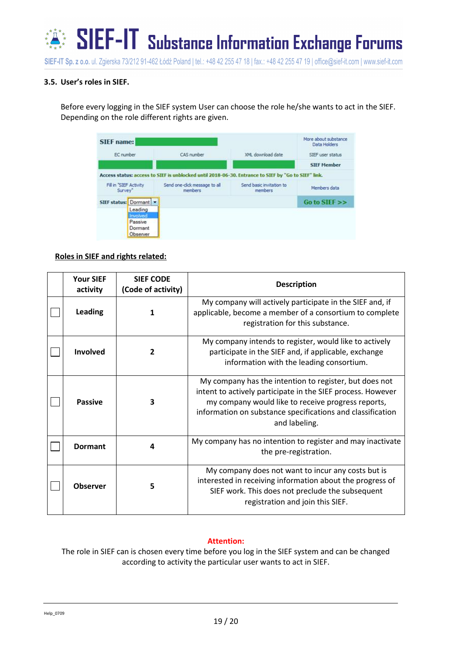

### <span id="page-18-0"></span>**3.5. User's roles in SIEF.**

Before every logging in the SIEF system User can choose the role he/she wants to act in the SIEF. Depending on the role different rights are given.

| <b>SIEF</b> name:                 |                                                                                                     |                                     | More about substance<br>Data Holders |  |
|-----------------------------------|-----------------------------------------------------------------------------------------------------|-------------------------------------|--------------------------------------|--|
| EC number                         | CAS number                                                                                          | XML download date                   | SIEF user status                     |  |
|                                   |                                                                                                     |                                     | <b>SIEF Member</b>                   |  |
|                                   | Access status: access to SIEF is unblocked until 2018-06-30. Entrance to SIEF by "Go to SIEF" link. |                                     |                                      |  |
| Fill in "SIEF Activity<br>Survey" | Send one-click message to all<br>members                                                            | Send basic invitation to<br>members | Members data                         |  |
| SIEF status: Dormant              |                                                                                                     |                                     | Go to SIEF                           |  |
| Leading                           |                                                                                                     |                                     |                                      |  |
| Involved<br>Passive               |                                                                                                     |                                     |                                      |  |
| Dormant                           |                                                                                                     |                                     |                                      |  |
| Observer                          |                                                                                                     |                                     |                                      |  |

#### **Roles in SIEF and rights related:**

| <b>Your SIEF</b><br>activity | <b>SIEF CODE</b><br>(Code of activity) | <b>Description</b>                                                                                                                                                                                                                                         |
|------------------------------|----------------------------------------|------------------------------------------------------------------------------------------------------------------------------------------------------------------------------------------------------------------------------------------------------------|
| Leading                      |                                        | My company will actively participate in the SIEF and, if<br>applicable, become a member of a consortium to complete<br>registration for this substance.                                                                                                    |
| <b>Involved</b>              | 2                                      | My company intends to register, would like to actively<br>participate in the SIEF and, if applicable, exchange<br>information with the leading consortium.                                                                                                 |
| <b>Passive</b>               | 3                                      | My company has the intention to register, but does not<br>intent to actively participate in the SIEF process. However<br>my company would like to receive progress reports,<br>information on substance specifications and classification<br>and labeling. |
| <b>Dormant</b>               | 4                                      | My company has no intention to register and may inactivate<br>the pre-registration.                                                                                                                                                                        |
| <b>Observer</b>              | 5                                      | My company does not want to incur any costs but is<br>interested in receiving information about the progress of<br>SIEF work. This does not preclude the subsequent<br>registration and join this SIEF.                                                    |

#### **Attention:**

The role in SIEF can is chosen every time before you log in the SIEF system and can be changed according to activity the particular user wants to act in SIEF.